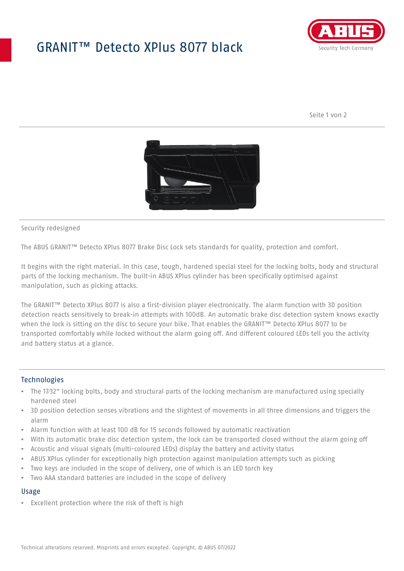## GRANIT™ Detecto XPlus 8077 black



Seite 1 von 2



#### Security redesigned

The ABUS GRANIT™ Detecto XPlus 8077 Brake Disc Lock sets standards for quality, protection and comfort.

It begins with the right material. In this case, tough, hardened special steel for the locking bolts, body and structural parts of the locking mechanism. The built-in ABUS XPlus cylinder has been specifically optimised against manipulation, such as picking attacks.

The GRANIT™ Detecto XPlus 8077 is also a first-division player electronically. The alarm function with 3D position detection reacts sensitively to break-in attempts with 100dB. An automatic brake disc detection system knows exactly when the lock is sitting on the disc to secure your bike. That enables the GRANIT™ Detecto XPlus 8077 to be transported comfortably while locked without the alarm going off. And different coloured LEDs tell you the activity and battery status at a glance.

#### Technologies

- The 17⁄32" locking bolts, body and structural parts of the locking mechanism are manufactured using specially hardened steel
- 3D position detection senses vibrations and the slightest of movements in all three dimensions and triggers the alarm
- Alarm function with at least 100 dB for 15 seconds followed by automatic reactivation
- With its automatic brake disc detection system, the lock can be transported closed without the alarm going off
- Acoustic and visual signals (multi-coloured LEDs) display the battery and activity status
- ABUS XPlus cylinder for exceptionally high protection against manipulation attempts such as picking
- Two keys are included in the scope of delivery, one of which is an LED torch key
- Two AAA standard batteries are included in the scope of delivery

#### Usage

• Excellent protection where the risk of theft is high